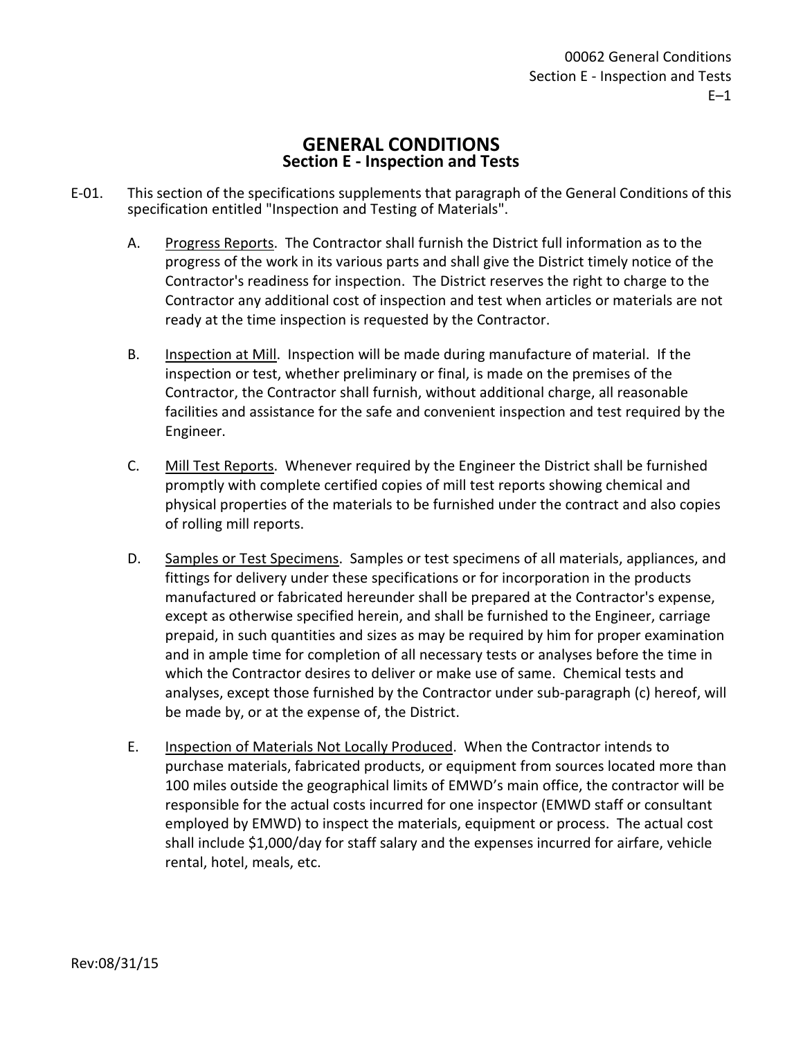## **GENERAL CONDITIONS Section E - Inspection and Tests**

- E-01. This section of the specifications supplements that paragraph of the General Conditions of this specification entitled "Inspection and Testing of Materials".
	- A. Progress Reports. The Contractor shall furnish the District full information as to the progress of the work in its various parts and shall give the District timely notice of the Contractor's readiness for inspection. The District reserves the right to charge to the Contractor any additional cost of inspection and test when articles or materials are not ready at the time inspection is requested by the Contractor.
	- B. Inspection at Mill. Inspection will be made during manufacture of material. If the inspection or test, whether preliminary or final, is made on the premises of the Contractor, the Contractor shall furnish, without additional charge, all reasonable facilities and assistance for the safe and convenient inspection and test required by the Engineer.
	- C. Mill Test Reports. Whenever required by the Engineer the District shall be furnished promptly with complete certified copies of mill test reports showing chemical and physical properties of the materials to be furnished under the contract and also copies of rolling mill reports.
	- D. Samples or Test Specimens. Samples or test specimens of all materials, appliances, and fittings for delivery under these specifications or for incorporation in the products manufactured or fabricated hereunder shall be prepared at the Contractor's expense, except as otherwise specified herein, and shall be furnished to the Engineer, carriage prepaid, in such quantities and sizes as may be required by him for proper examination and in ample time for completion of all necessary tests or analyses before the time in which the Contractor desires to deliver or make use of same. Chemical tests and analyses, except those furnished by the Contractor under sub-paragraph (c) hereof, will be made by, or at the expense of, the District.
	- E. Inspection of Materials Not Locally Produced. When the Contractor intends to purchase materials, fabricated products, or equipment from sources located more than 100 miles outside the geographical limits of EMWD's main office, the contractor will be responsible for the actual costs incurred for one inspector (EMWD staff or consultant employed by EMWD) to inspect the materials, equipment or process. The actual cost shall include \$1,000/day for staff salary and the expenses incurred for airfare, vehicle rental, hotel, meals, etc.